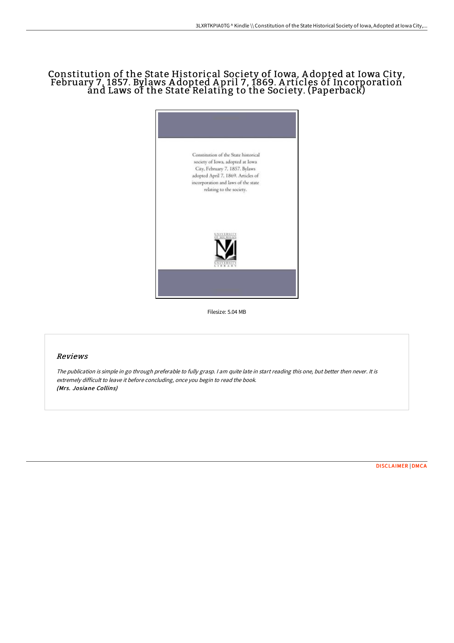# Constitution of the State Historical Society of Iowa, A dopted at Iowa City, February 7, 1857. Bylaws A dopted A pril 7, 1869. A rticles of Incorporation and Laws of the State Relating to the Society. (Paperback)



Filesize: 5.04 MB

## Reviews

The publication is simple in go through preferable to fully grasp. <sup>I</sup> am quite late in start reading this one, but better then never. It is extremely difficult to leave it before concluding, once you begin to read the book. (Mrs. Josiane Collins)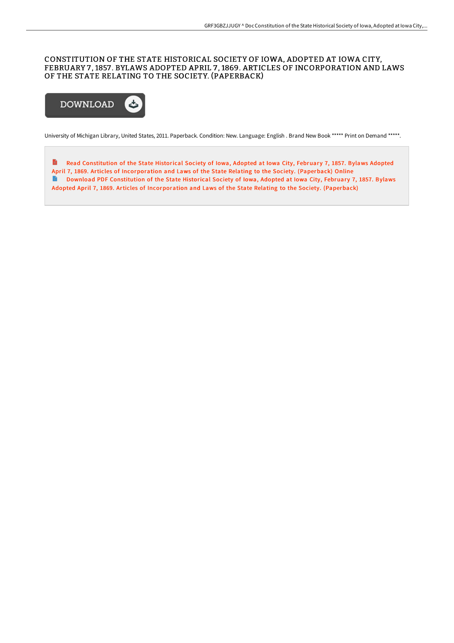### CONSTITUTION OF THE STATE HISTORICAL SOCIETY OF IOWA, ADOPTED AT IOWA CITY, FEBRUARY 7 , 1857 . BYLAWS ADOPTED APRIL 7 , 1869. ARTICLES OF INCORPORATION AND LAWS OF THE STATE RELATING TO THE SOCIETY. (PAPERBACK)



University of Michigan Library, United States, 2011. Paperback. Condition: New. Language: English . Brand New Book \*\*\*\*\* Print on Demand \*\*\*\*\*.

B Read Constitution of the State Historical Society of Iowa, Adopted at Iowa City, February 7, 1857. Bylaws Adopted April 7, 1869. Articles of [Incorporation](http://bookera.tech/constitution-of-the-state-historical-society-of--1.html) and Laws of the State Relating to the Society. (Paperback) Online Download PDF Constitution of the State Historical Society of Iowa, Adopted at Iowa City, February 7, 1857. Bylaws Adopted April 7, 1869. Articles of [Incorporation](http://bookera.tech/constitution-of-the-state-historical-society-of--1.html) and Laws of the State Relating to the Society. (Paperback)